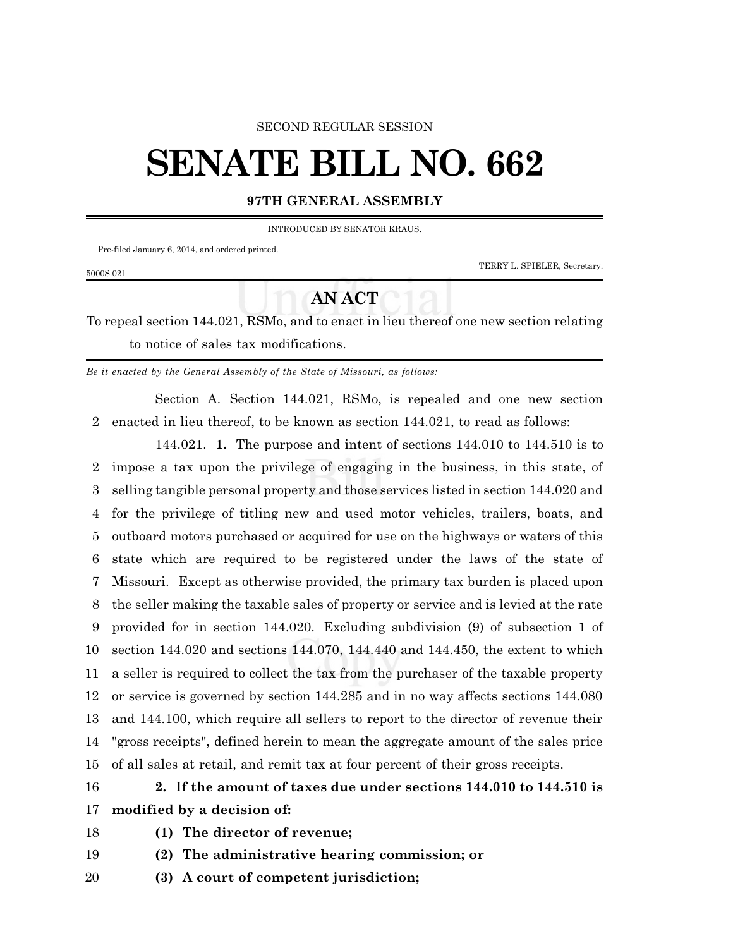#### SECOND REGULAR SESSION

# **SENATE BILL NO. 662**

### **97TH GENERAL ASSEMBLY**

INTRODUCED BY SENATOR KRAUS.

Pre-filed January 6, 2014, and ordered printed.

5000S.02I

TERRY L. SPIELER, Secretary.

## **AN ACT**

To repeal section 144.021, RSMo, and to enact in lieu thereof one new section relating to notice of sales tax modifications.

*Be it enacted by the General Assembly of the State of Missouri, as follows:*

Section A. Section 144.021, RSMo, is repealed and one new section enacted in lieu thereof, to be known as section 144.021, to read as follows:

144.021. **1.** The purpose and intent of sections 144.010 to 144.510 is to impose a tax upon the privilege of engaging in the business, in this state, of selling tangible personal property and those services listed in section 144.020 and for the privilege of titling new and used motor vehicles, trailers, boats, and outboard motors purchased or acquired for use on the highways or waters of this state which are required to be registered under the laws of the state of Missouri. Except as otherwise provided, the primary tax burden is placed upon the seller making the taxable sales of property or service and is levied at the rate provided for in section 144.020. Excluding subdivision (9) of subsection 1 of section 144.020 and sections 144.070, 144.440 and 144.450, the extent to which a seller is required to collect the tax from the purchaser of the taxable property or service is governed by section 144.285 and in no way affects sections 144.080 and 144.100, which require all sellers to report to the director of revenue their "gross receipts", defined herein to mean the aggregate amount of the sales price of all sales at retail, and remit tax at four percent of their gross receipts.

## **2. If the amount of taxes due under sections 144.010 to 144.510 is modified by a decision of:**

- 
- **(1) The director of revenue;**
- **(2) The administrative hearing commission; or**
- **(3) A court of competent jurisdiction;**